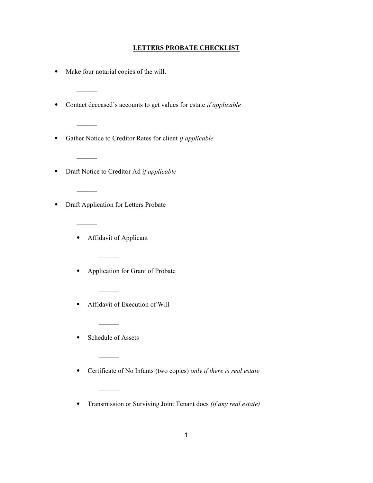## LETTERS PROBATE CHECKLIST

⦁ Make four notarial copies of the will.

 $\mathcal{L}_\text{max}$ 

 $\mathcal{L}_\text{max}$ 

 $\mathcal{L}=\mathcal{L}$ 

 $\mathcal{L}_\text{max}$ 

 $\mathcal{L}_\text{max}$ 

- Contact deceased's accounts to get values for estate *if applicable*
- ⦁ Gather Notice to Creditor Rates for client if applicable
- Draft Notice to Creditor Ad if applicable
- ⦁ Draft Application for Letters Probate
	- ⦁ Affidavit of Applicant
	- ⦁ Application for Grant of Probate
	- ⦁ Affidavit of Execution of Will
	- ⦁ Schedule of Assets

 $\overline{\phantom{a}}$ 

 $\overline{\phantom{a}}$ 

 $\overline{\phantom{a}}$ 

- ⦁ Certificate of No Infants (two copies) only if there is real estate
- ⦁ Transmission or Surviving Joint Tenant docs (if any real estate)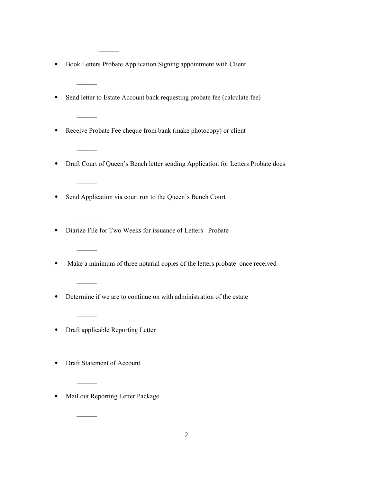⦁ Book Letters Probate Application Signing appointment with Client

 $\mathcal{L}_\text{max}$ 

 $\mathcal{L}_\text{max}$ 

 $\mathcal{L}_\text{max}$ 

 $\mathcal{L}=\mathcal{L}$ 

 $\mathcal{L}_\text{max}$ 

 $\mathcal{L}_\text{max}$ 

 $\frac{1}{2}$ 

 $\mathcal{L}_\text{max}$ 

 $\overline{\phantom{a}}$ 

- ⦁ Send letter to Estate Account bank requesting probate fee (calculate fee)
- ⦁ Receive Probate Fee cheque from bank (make photocopy) or client
- ⦁ Draft Court of Queen's Bench letter sending Application for Letters Probate docs
- ⦁ Send Application via court run to the Queen's Bench Court
- ⦁ Diarize File for Two Weeks for issuance of Letters Probate
- ⦁ Make a minimum of three notarial copies of the letters probate once received
- ⦁ Determine if we are to continue on with administration of the estate
- ⦁ Draft applicable Reporting Letter
- ⦁ Draft Statement of Account
- ⦁ Mail out Reporting Letter Package